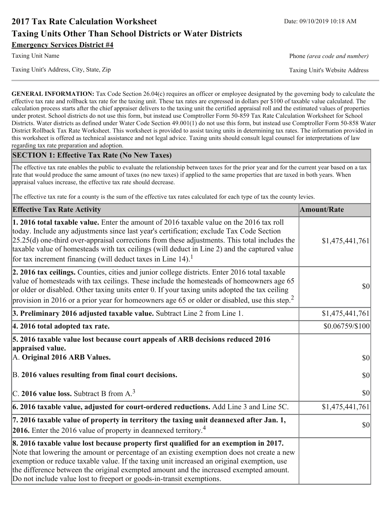# **2017 Tax Rate Calculation Worksheet Taxing Units Other Than School Districts or Water Districts Emergency Services District #4**

Phone (area code and number)

Taxing Unit's Website Address

**GENERAL INFORMATION:** Tax Code Section 26.04(c) requires an officer or employee designated by the governing body to calculate the effective tax rate and rollback tax rate for the taxing unit. These tax rates are expressed in dollars per \$100 of taxable value calculated. The calculation process starts after the chief appraiser delivers to the taxing unit the certified appraisal roll and the estimated values of properties under protest. School districts do not use this form, but instead use Comptroller Form 50-859 Tax Rate Calculation Worksheet for School Districts. Water districts as defined under Water Code Section 49.001(1) do not use this form, but instead use Comptroller Form 50-858 Water District Rollback Tax Rate Worksheet. This worksheet is provided to assist taxing units in determining tax rates. The information provided in this worksheet is offered as technical assistance and not legal advice. Taxing units should consult legal counsel for interpretations of law regarding tax rate preparation and adoption.

### **SECTION 1: Effective Tax Rate (No New Taxes)**

The effective tax rate enables the public to evaluate the relationship between taxes for the prior year and for the current year based on a tax rate that would produce the same amount of taxes (no new taxes) if applied to the same properties that are taxed in both years. When appraisal values increase, the effective tax rate should decrease.

The effective tax rate for a county is the sum of the effective tax rates calculated for each type of tax the county levies.

| <b>Effective Tax Rate Activity</b>                                                                                                                                                                                                                                                                                                                                                                                                                                      | <b>Amount/Rate</b> |
|-------------------------------------------------------------------------------------------------------------------------------------------------------------------------------------------------------------------------------------------------------------------------------------------------------------------------------------------------------------------------------------------------------------------------------------------------------------------------|--------------------|
| 1. 2016 total taxable value. Enter the amount of 2016 taxable value on the 2016 tax roll<br>today. Include any adjustments since last year's certification; exclude Tax Code Section<br>$[25.25(d)$ one-third over-appraisal corrections from these adjustments. This total includes the<br>taxable value of homesteads with tax ceilings (will deduct in Line 2) and the captured value<br>for tax increment financing (will deduct taxes in Line $14$ ). <sup>1</sup> | \$1,475,441,761    |
| 2. 2016 tax ceilings. Counties, cities and junior college districts. Enter 2016 total taxable<br>value of homesteads with tax ceilings. These include the homesteads of homeowners age 65<br>or older or disabled. Other taxing units enter 0. If your taxing units adopted the tax ceiling<br>provision in 2016 or a prior year for homeowners age 65 or older or disabled, use this step. <sup>2</sup>                                                                | 30                 |
| 3. Preliminary 2016 adjusted taxable value. Subtract Line 2 from Line 1.                                                                                                                                                                                                                                                                                                                                                                                                | \$1,475,441,761    |
| 4. 2016 total adopted tax rate.                                                                                                                                                                                                                                                                                                                                                                                                                                         | $$0.06759$ /\$100  |
| 5. 2016 taxable value lost because court appeals of ARB decisions reduced 2016<br>appraised value.<br>A. Original 2016 ARB Values.                                                                                                                                                                                                                                                                                                                                      | $ 10\rangle$       |
| B. 2016 values resulting from final court decisions.                                                                                                                                                                                                                                                                                                                                                                                                                    | \$0                |
| C. 2016 value loss. Subtract B from $A3$                                                                                                                                                                                                                                                                                                                                                                                                                                | \$0                |
| $\vert$ 6. 2016 taxable value, adjusted for court-ordered reductions. Add Line 3 and Line 5C.                                                                                                                                                                                                                                                                                                                                                                           | \$1,475,441,761    |
| 7. 2016 taxable value of property in territory the taxing unit deannexed after Jan. 1,<br><b>2016.</b> Enter the 2016 value of property in deannexed territory. <sup>4</sup>                                                                                                                                                                                                                                                                                            | $ 10\rangle$       |
| 8. 2016 taxable value lost because property first qualified for an exemption in 2017.<br>Note that lowering the amount or percentage of an existing exemption does not create a new<br>exemption or reduce taxable value. If the taxing unit increased an original exemption, use<br>the difference between the original exempted amount and the increased exempted amount.<br>Do not include value lost to freeport or goods-in-transit exemptions.                    |                    |

Taxing Unit's Address, City, State, Zip

**Taxing Unit Name**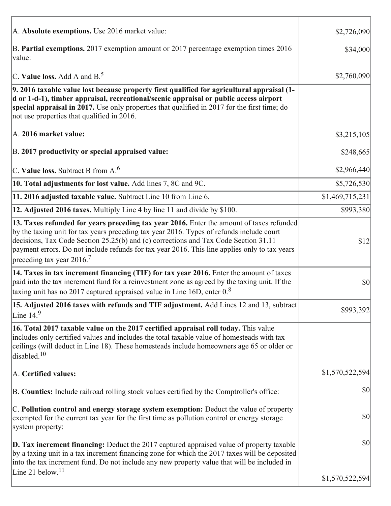| A. Absolute exemptions. Use 2016 market value:                                                                                                                                                                                                                                                                                                                                                                           | \$2,726,090     |
|--------------------------------------------------------------------------------------------------------------------------------------------------------------------------------------------------------------------------------------------------------------------------------------------------------------------------------------------------------------------------------------------------------------------------|-----------------|
| B. Partial exemptions. 2017 exemption amount or 2017 percentage exemption times 2016<br>value:                                                                                                                                                                                                                                                                                                                           | \$34,000        |
| C. Value loss. Add A and $B^5$ .                                                                                                                                                                                                                                                                                                                                                                                         | \$2,760,090     |
| 9. 2016 taxable value lost because property first qualified for agricultural appraisal (1-<br>d or 1-d-1), timber appraisal, recreational/scenic appraisal or public access airport<br>special appraisal in 2017. Use only properties that qualified in 2017 for the first time; do<br>not use properties that qualified in 2016.                                                                                        |                 |
| A. 2016 market value:                                                                                                                                                                                                                                                                                                                                                                                                    | \$3,215,105     |
| B. 2017 productivity or special appraised value:                                                                                                                                                                                                                                                                                                                                                                         | \$248,665       |
| C. Value loss. Subtract B from $A6$                                                                                                                                                                                                                                                                                                                                                                                      | \$2,966,440     |
| 10. Total adjustments for lost value. Add lines 7, 8C and 9C.                                                                                                                                                                                                                                                                                                                                                            | \$5,726,530     |
| 11. 2016 adjusted taxable value. Subtract Line 10 from Line 6.                                                                                                                                                                                                                                                                                                                                                           | \$1,469,715,231 |
| 12. Adjusted 2016 taxes. Multiply Line 4 by line 11 and divide by \$100.                                                                                                                                                                                                                                                                                                                                                 | \$993,380       |
| 13. Taxes refunded for years preceding tax year 2016. Enter the amount of taxes refunded<br>by the taxing unit for tax years preceding tax year 2016. Types of refunds include court<br>decisions, Tax Code Section 25.25(b) and (c) corrections and Tax Code Section 31.11<br>payment errors. Do not include refunds for tax year 2016. This line applies only to tax years<br>preceding tax year $2016$ . <sup>7</sup> | \$12            |
| 14. Taxes in tax increment financing (TIF) for tax year 2016. Enter the amount of taxes<br>paid into the tax increment fund for a reinvestment zone as agreed by the taxing unit. If the<br>taxing unit has no 2017 captured appraised value in Line 16D, enter $0.8$                                                                                                                                                    | \$0             |
| 15. Adjusted 2016 taxes with refunds and TIF adjustment. Add Lines 12 and 13, subtract<br>Line $149$                                                                                                                                                                                                                                                                                                                     | \$993,392       |
| 16. Total 2017 taxable value on the 2017 certified appraisal roll today. This value<br>includes only certified values and includes the total taxable value of homesteads with tax<br>ceilings (will deduct in Line 18). These homesteads include homeowners age 65 or older or<br>disabled. <sup>10</sup>                                                                                                                |                 |
| A. Certified values:                                                                                                                                                                                                                                                                                                                                                                                                     | \$1,570,522,594 |
| B. Counties: Include railroad rolling stock values certified by the Comptroller's office:                                                                                                                                                                                                                                                                                                                                | \$0             |
| C. Pollution control and energy storage system exemption: Deduct the value of property<br>exempted for the current tax year for the first time as pollution control or energy storage<br>system property:                                                                                                                                                                                                                | \$0             |
| $\vert$ D. Tax increment financing: Deduct the 2017 captured appraised value of property taxable<br>by a taxing unit in a tax increment financing zone for which the 2017 taxes will be deposited<br>into the tax increment fund. Do not include any new property value that will be included in                                                                                                                         | \$0             |
| Line 21 below. <sup>11</sup>                                                                                                                                                                                                                                                                                                                                                                                             | \$1,570,522,594 |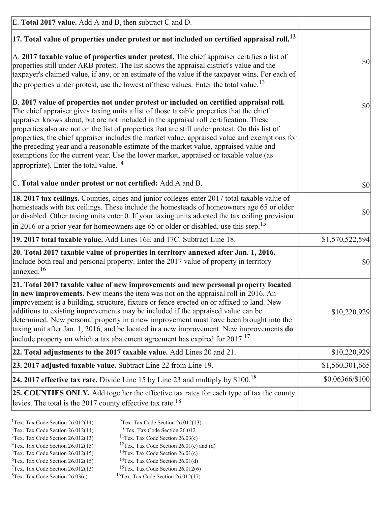| E. Total 2017 value. Add A and B, then subtract C and D.                                                                                                                                                                                                                                                                                                                                                                                                                                                                                                                                                                                                                                                                 |                 |
|--------------------------------------------------------------------------------------------------------------------------------------------------------------------------------------------------------------------------------------------------------------------------------------------------------------------------------------------------------------------------------------------------------------------------------------------------------------------------------------------------------------------------------------------------------------------------------------------------------------------------------------------------------------------------------------------------------------------------|-----------------|
| $ 17$ . Total value of properties under protest or not included on certified appraisal roll. <sup>12</sup>                                                                                                                                                                                                                                                                                                                                                                                                                                                                                                                                                                                                               |                 |
| A. 2017 taxable value of properties under protest. The chief appraiser certifies a list of<br>properties still under ARB protest. The list shows the appraisal district's value and the<br>taxpayer's claimed value, if any, or an estimate of the value if the taxpayer wins. For each of<br>the properties under protest, use the lowest of these values. Enter the total value. <sup>13</sup>                                                                                                                                                                                                                                                                                                                         | \$0             |
| B. 2017 value of properties not under protest or included on certified appraisal roll.<br>The chief appraiser gives taxing units a list of those taxable properties that the chief<br>appraiser knows about, but are not included in the appraisal roll certification. These<br>properties also are not on the list of properties that are still under protest. On this list of<br>properties, the chief appraiser includes the market value, appraised value and exemptions for<br>the preceding year and a reasonable estimate of the market value, appraised value and<br>exemptions for the current year. Use the lower market, appraised or taxable value (as<br>appropriate). Enter the total value. <sup>14</sup> | \$0             |
| C. Total value under protest or not certified: Add A and B.                                                                                                                                                                                                                                                                                                                                                                                                                                                                                                                                                                                                                                                              | $ 10\rangle$    |
| 18. 2017 tax ceilings. Counties, cities and junior colleges enter 2017 total taxable value of<br>homesteads with tax ceilings. These include the homesteads of homeowners age 65 or older<br>or disabled. Other taxing units enter 0. If your taxing units adopted the tax ceiling provision<br>$\vert$ in 2016 or a prior year for homeowners age 65 or older or disabled, use this step. <sup>15</sup>                                                                                                                                                                                                                                                                                                                 | \$0             |
| 19. 2017 total taxable value. Add Lines 16E and 17C. Subtract Line 18.                                                                                                                                                                                                                                                                                                                                                                                                                                                                                                                                                                                                                                                   | \$1,570,522,594 |
| 20. Total 2017 taxable value of properties in territory annexed after Jan. 1, 2016.<br>Include both real and personal property. Enter the 2017 value of property in territory<br>annexed. <sup>16</sup>                                                                                                                                                                                                                                                                                                                                                                                                                                                                                                                  | $ 10\rangle$    |
| 21. Total 2017 taxable value of new improvements and new personal property located<br>in new improvements. New means the item was not on the appraisal roll in 2016. An<br>improvement is a building, structure, fixture or fence erected on or affixed to land. New<br>additions to existing improvements may be included if the appraised value can be<br>determined. New personal property in a new improvement must have been brought into the<br>taxing unit after Jan. 1, 2016, and be located in a new improvement. New improvements <b>do</b><br>include property on which a tax abatement agreement has expired for $2017$ . <sup>17</sup>                                                                      | \$10,220,929    |
| 22. Total adjustments to the 2017 taxable value. Add Lines 20 and 21.                                                                                                                                                                                                                                                                                                                                                                                                                                                                                                                                                                                                                                                    | \$10,220,929    |
| 23. 2017 adjusted taxable value. Subtract Line 22 from Line 19.                                                                                                                                                                                                                                                                                                                                                                                                                                                                                                                                                                                                                                                          | \$1,560,301,665 |
| 24. 2017 effective tax rate. Divide Line 15 by Line 23 and multiply by $$100$ . <sup>18</sup>                                                                                                                                                                                                                                                                                                                                                                                                                                                                                                                                                                                                                            | \$0.06366/\$100 |
| 25. COUNTIES ONLY. Add together the effective tax rates for each type of tax the county<br>levies. The total is the 2017 county effective tax rate. <sup>18</sup>                                                                                                                                                                                                                                                                                                                                                                                                                                                                                                                                                        |                 |

- <sup>1</sup>Tex. Tax Code Section 26.012(14) <sup>2</sup>Tex. Tax Code Section  $26.012(14)$
- <sup>9</sup>Tex. Tax Code Section 26.012(13)
- ${}^{10}$ Tex. Tax Code Section 26.012  $3$ Tex. Tax Code Section 26.012(13)
	- <sup>11</sup>Tex. Tax Code Section  $26.03(c)$
- <sup>12</sup>Tex. Tax Code Section 26.01(c) and (d) <sup>4</sup>Tex. Tax Code Section  $26.012(15)$ <sup>13</sup>Tex. Tax Code Section  $26.01(c)$
- $5$ Tex. Tax Code Section 26.012(15)
- $6$ Tex. Tax Code Section 26.012(15)
	- <sup>14</sup>Tex. Tax Code Section 26.01(d) <sup>15</sup>Tex. Tax Code Section 26.012(6)
- $7$ Tex. Tax Code Section 26.012(13)  $8$ Tex. Tax Code Section 26.03(c)
- 
- <sup>16</sup>Tex. Tax Code Section  $26.012(17)$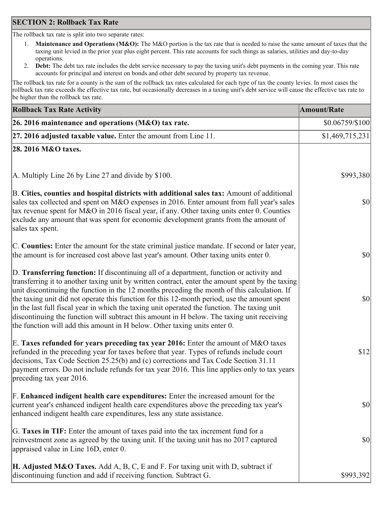## **SECTION 2: Rollback Tax Rate**

The rollback tax rate is split into two separate rates:

- Maintenance and Operations (M&O): The M&O portion is the tax rate that is needed to raise the same amount of taxes that the  $1_{\cdot}$ taxing unit levied in the prior year plus eight percent. This rate accounts for such things as salaries, utilities and day-to-day operations.
- Debt: The debt tax rate includes the debt service necessary to pay the taxing unit's debt payments in the coming year. This rate 2. accounts for principal and interest on bonds and other debt secured by property tax revenue.

The rollback tax rate for a county is the sum of the rollback tax rates calculated for each type of tax the county levies. In most cases the rollback tax rate exceeds the effective tax rate, but occasionally decreases in a taxing unit's debt service will cause the effective tax rate to be higher than the rollback tax rate.

| <b>Rollback Tax Rate Activity</b>                                                                                                                                                                                                                                                                                                                                                                                                                                                                                                                                                                                                                                       | Amount/Rate      |
|-------------------------------------------------------------------------------------------------------------------------------------------------------------------------------------------------------------------------------------------------------------------------------------------------------------------------------------------------------------------------------------------------------------------------------------------------------------------------------------------------------------------------------------------------------------------------------------------------------------------------------------------------------------------------|------------------|
| 26. 2016 maintenance and operations (M&O) tax rate.                                                                                                                                                                                                                                                                                                                                                                                                                                                                                                                                                                                                                     | $$0.06759/\$100$ |
| $ 27.2016$ adjusted taxable value. Enter the amount from Line 11.                                                                                                                                                                                                                                                                                                                                                                                                                                                                                                                                                                                                       | \$1,469,715,231  |
| 28. 2016 M&O taxes.                                                                                                                                                                                                                                                                                                                                                                                                                                                                                                                                                                                                                                                     |                  |
|                                                                                                                                                                                                                                                                                                                                                                                                                                                                                                                                                                                                                                                                         |                  |
| A. Multiply Line 26 by Line 27 and divide by \$100.                                                                                                                                                                                                                                                                                                                                                                                                                                                                                                                                                                                                                     | \$993,380        |
| B. Cities, counties and hospital districts with additional sales tax: Amount of additional<br>sales tax collected and spent on M&O expenses in 2016. Enter amount from full year's sales<br>tax revenue spent for M&O in 2016 fiscal year, if any. Other taxing units enter 0. Counties<br>exclude any amount that was spent for economic development grants from the amount of<br>sales tax spent.                                                                                                                                                                                                                                                                     | 30               |
| C. Counties: Enter the amount for the state criminal justice mandate. If second or later year,<br>the amount is for increased cost above last year's amount. Other taxing units enter 0.                                                                                                                                                                                                                                                                                                                                                                                                                                                                                | 30               |
| D. Transferring function: If discontinuing all of a department, function or activity and<br>transferring it to another taxing unit by written contract, enter the amount spent by the taxing<br>unit discontinuing the function in the 12 months preceding the month of this calculation. If<br>the taxing unit did not operate this function for this 12-month period, use the amount spent<br>in the last full fiscal year in which the taxing unit operated the function. The taxing unit<br>discontinuing the function will subtract this amount in H below. The taxing unit receiving<br>the function will add this amount in H below. Other taxing units enter 0. | \$0              |
| E. Taxes refunded for years preceding tax year 2016: Enter the amount of M&O taxes<br>refunded in the preceding year for taxes before that year. Types of refunds include court<br>decisions, Tax Code Section 25.25(b) and (c) corrections and Tax Code Section 31.11<br>payment errors. Do not include refunds for tax year 2016. This line applies only to tax years<br>preceding tax year 2016.                                                                                                                                                                                                                                                                     | \$12             |
| F. Enhanced indigent health care expenditures: Enter the increased amount for the<br>current year's enhanced indigent health care expenditures above the preceding tax year's<br>enhanced indigent health care expenditures, less any state assistance.                                                                                                                                                                                                                                                                                                                                                                                                                 | <b>\$0</b>       |
| G. Taxes in TIF: Enter the amount of taxes paid into the tax increment fund for a<br>reinvestment zone as agreed by the taxing unit. If the taxing unit has no 2017 captured<br>appraised value in Line 16D, enter 0.                                                                                                                                                                                                                                                                                                                                                                                                                                                   | $ 10\rangle$     |
| <b>H. Adjusted M&amp;O Taxes.</b> Add A, B, C, E and F. For taxing unit with D, subtract if<br>discontinuing function and add if receiving function. Subtract G.                                                                                                                                                                                                                                                                                                                                                                                                                                                                                                        | \$993,392        |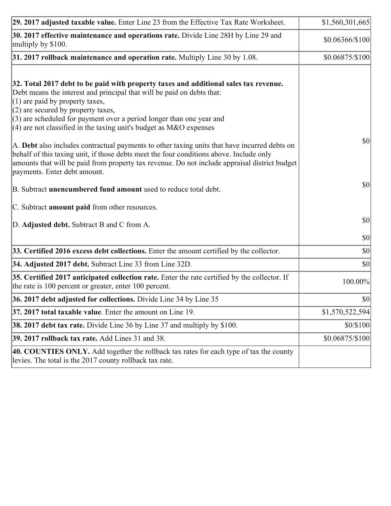| 29. 2017 adjusted taxable value. Enter Line 23 from the Effective Tax Rate Worksheet.                                                                                                                                                                                                                                                                                                         | \$1,560,301,665  |
|-----------------------------------------------------------------------------------------------------------------------------------------------------------------------------------------------------------------------------------------------------------------------------------------------------------------------------------------------------------------------------------------------|------------------|
| 30. 2017 effective maintenance and operations rate. Divide Line 28H by Line 29 and<br>multiply by \$100.                                                                                                                                                                                                                                                                                      | $$0.06366/\$100$ |
| $31.2017$ rollback maintenance and operation rate. Multiply Line 30 by 1.08.                                                                                                                                                                                                                                                                                                                  | $$0.06875/\$100$ |
| 32. Total 2017 debt to be paid with property taxes and additional sales tax revenue.<br>Debt means the interest and principal that will be paid on debts that:<br>$(1)$ are paid by property taxes,<br>$(2)$ are secured by property taxes,<br>$(3)$ are scheduled for payment over a period longer than one year and<br>$(4)$ are not classified in the taxing unit's budget as M&O expenses |                  |
| A. Debt also includes contractual payments to other taxing units that have incurred debts on<br>behalf of this taxing unit, if those debts meet the four conditions above. Include only<br>amounts that will be paid from property tax revenue. Do not include appraisal district budget<br>payments. Enter debt amount.                                                                      | $ 10\rangle$     |
| B. Subtract unencumbered fund amount used to reduce total debt.                                                                                                                                                                                                                                                                                                                               | \$0              |
| C. Subtract amount paid from other resources.                                                                                                                                                                                                                                                                                                                                                 |                  |
| D. Adjusted debt. Subtract B and C from A.                                                                                                                                                                                                                                                                                                                                                    | $ 10\rangle$     |
|                                                                                                                                                                                                                                                                                                                                                                                               | $ 10\rangle$     |
| 33. Certified 2016 excess debt collections. Enter the amount certified by the collector.                                                                                                                                                                                                                                                                                                      | \$0              |
| 34. Adjusted 2017 debt. Subtract Line 33 from Line 32D.                                                                                                                                                                                                                                                                                                                                       | \$0              |
| 35. Certified 2017 anticipated collection rate. Enter the rate certified by the collector. If<br>the rate is 100 percent or greater, enter 100 percent.                                                                                                                                                                                                                                       | 100.00%          |
| 36. 2017 debt adjusted for collections. Divide Line 34 by Line 35                                                                                                                                                                                                                                                                                                                             | $ 10\rangle$     |
| $ 37, 2017$ total taxable value. Enter the amount on Line 19.                                                                                                                                                                                                                                                                                                                                 | \$1,570,522,594  |
| <b>38. 2017 debt tax rate.</b> Divide Line 36 by Line 37 and multiply by \$100.                                                                                                                                                                                                                                                                                                               | \$0/\$100        |
| <b>39. 2017 rollback tax rate.</b> Add Lines 31 and 38.                                                                                                                                                                                                                                                                                                                                       | \$0.06875/\$100  |
| 40. COUNTIES ONLY. Add together the rollback tax rates for each type of tax the county<br>levies. The total is the 2017 county rollback tax rate.                                                                                                                                                                                                                                             |                  |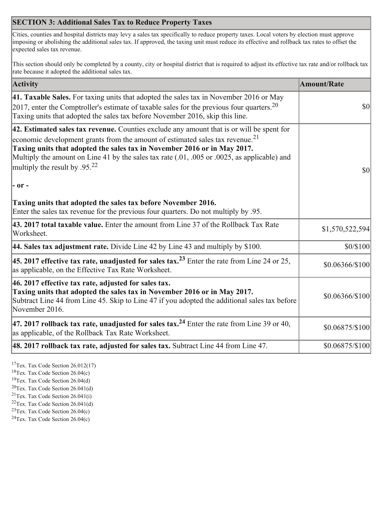## **SECTION 3: Additional Sales Tax to Reduce Property Taxes**

Cities, counties and hospital districts may levy a sales tax specifically to reduce property taxes. Local voters by election must approve imposing or abolishing the additional sales tax. If approved, the taxing unit must reduce its effective and rollback tax rates to offset the expected sales tax revenue.

This section should only be completed by a county, city or hospital district that is required to adjust its effective tax rate and/or rollback tax rate because it adopted the additional sales tax.

| <b>Activity</b>                                                                                                                                                                                                                                                                                                                                                                                         | <b>Amount/Rate</b>                  |
|---------------------------------------------------------------------------------------------------------------------------------------------------------------------------------------------------------------------------------------------------------------------------------------------------------------------------------------------------------------------------------------------------------|-------------------------------------|
| 41. Taxable Sales. For taxing units that adopted the sales tax in November 2016 or May<br>$\vert$ 2017, enter the Comptroller's estimate of taxable sales for the previous four quarters. <sup>20</sup><br>Taxing units that adopted the sales tax before November 2016, skip this line.                                                                                                                | $\vert \mathbf{S} \mathbf{O} \vert$ |
| 42. Estimated sales tax revenue. Counties exclude any amount that is or will be spent for<br>economic development grants from the amount of estimated sales tax revenue. <sup>21</sup><br>Taxing units that adopted the sales tax in November 2016 or in May 2017.<br>Multiply the amount on Line 41 by the sales tax rate (.01, .005 or .0025, as applicable) and<br>multiply the result by $.95^{22}$ | \$0                                 |
| - or -                                                                                                                                                                                                                                                                                                                                                                                                  |                                     |
| Taxing units that adopted the sales tax before November 2016.<br>Enter the sales tax revenue for the previous four quarters. Do not multiply by .95.                                                                                                                                                                                                                                                    |                                     |
| 43. 2017 total taxable value. Enter the amount from Line 37 of the Rollback Tax Rate<br>Worksheet.                                                                                                                                                                                                                                                                                                      | \$1,570,522,594                     |
| 44. Sales tax adjustment rate. Divide Line 42 by Line 43 and multiply by $$100$ .                                                                                                                                                                                                                                                                                                                       | \$0/\$100                           |
| 45. 2017 effective tax rate, unadjusted for sales tax. <sup>23</sup> Enter the rate from Line 24 or 25,<br>as applicable, on the Effective Tax Rate Worksheet.                                                                                                                                                                                                                                          | \$0.06366/\$100                     |
| 46. 2017 effective tax rate, adjusted for sales tax.<br>Taxing units that adopted the sales tax in November 2016 or in May 2017.<br>Subtract Line 44 from Line 45. Skip to Line 47 if you adopted the additional sales tax before<br>November 2016.                                                                                                                                                     | \$0.06366/\$100                     |
| 47. 2017 rollback tax rate, unadjusted for sales tax. <sup>24</sup> Enter the rate from Line 39 or 40,<br>as applicable, of the Rollback Tax Rate Worksheet.                                                                                                                                                                                                                                            | \$0.06875/\$100                     |
| $ 48.2017$ rollback tax rate, adjusted for sales tax. Subtract Line 44 from Line 47.                                                                                                                                                                                                                                                                                                                    | $$0.06875/\$100$                    |

 $17$ Tex. Tax Code Section 26.012(17)

 ${}^{18}$ Tex. Tax Code Section 26.04(c)

<sup>19</sup>Tex. Tax Code Section 26.04(d)

 $20$ Tex. Tax Code Section 26.041(d)

- <sup>21</sup>Tex. Tax Code Section  $26.041(i)$
- <sup>22</sup>Tex. Tax Code Section  $26.041(d)$
- <sup>23</sup>Tex. Tax Code Section  $26.04(c)$

<sup>24</sup>Tex. Tax Code Section  $26.04(c)$